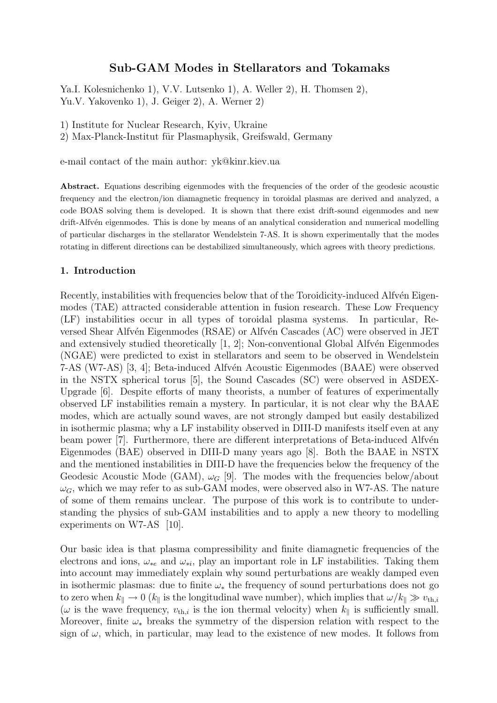# Sub-GAM Modes in Stellarators and Tokamaks

Ya.I. Kolesnichenko 1), V.V. Lutsenko 1), A. Weller 2), H. Thomsen 2), Yu.V. Yakovenko 1), J. Geiger 2), A. Werner 2)

1) Institute for Nuclear Research, Kyiv, Ukraine

2) Max-Planck-Institut für Plasmaphysik, Greifswald, Germany

e-mail contact of the main author: yk@kinr.kiev.ua

Abstract. Equations describing eigenmodes with the frequencies of the order of the geodesic acoustic frequency and the electron/ion diamagnetic frequency in toroidal plasmas are derived and analyzed, a code BOAS solving them is developed. It is shown that there exist drift-sound eigenmodes and new drift-Alfvén eigenmodes. This is done by means of an analytical consideration and numerical modelling of particular discharges in the stellarator Wendelstein 7-AS. It is shown experimentally that the modes rotating in different directions can be destabilized simultaneously, which agrees with theory predictions.

### 1. Introduction

Recently, instabilities with frequencies below that of the Toroidicity-induced Alfv $\acute{e}$ n Eigenmodes (TAE) attracted considerable attention in fusion research. These Low Frequency (LF) instabilities occur in all types of toroidal plasma systems. In particular, Reversed Shear Alfvén Eigenmodes (RSAE) or Alfvén Cascades (AC) were observed in JET and extensively studied theoretically  $[1, 2]$ ; Non-conventional Global Alfvén Eigenmodes (NGAE) were predicted to exist in stellarators and seem to be observed in Wendelstein 7-AS (W7-AS) [3, 4]; Beta-induced Alfv´en Acoustic Eigenmodes (BAAE) were observed in the NSTX spherical torus [5], the Sound Cascades (SC) were observed in ASDEX-Upgrade [6]. Despite efforts of many theorists, a number of features of experimentally observed LF instabilities remain a mystery. In particular, it is not clear why the BAAE modes, which are actually sound waves, are not strongly damped but easily destabilized in isothermic plasma; why a LF instability observed in DIII-D manifests itself even at any beam power [7]. Furthermore, there are different interpretations of Beta-induced Alfvén Eigenmodes (BAE) observed in DIII-D many years ago [8]. Both the BAAE in NSTX and the mentioned instabilities in DIII-D have the frequencies below the frequency of the Geodesic Acoustic Mode (GAM),  $\omega_G$  [9]. The modes with the frequencies below/about  $\omega_G$ , which we may refer to as sub-GAM modes, were observed also in W7-AS. The nature of some of them remains unclear. The purpose of this work is to contribute to understanding the physics of sub-GAM instabilities and to apply a new theory to modelling experiments on W7-AS [10].

Our basic idea is that plasma compressibility and finite diamagnetic frequencies of the electrons and ions,  $\omega_{*e}$  and  $\omega_{*i}$ , play an important role in LF instabilities. Taking them into account may immediately explain why sound perturbations are weakly damped even in isothermic plasmas: due to finite  $\omega_*$  the frequency of sound perturbations does not go to zero when  $k_{\parallel} \to 0$  ( $k_{\parallel}$  is the longitudinal wave number), which implies that  $\omega/k_{\parallel} \gg v_{\text{th},i}$ ( $\omega$  is the wave frequency,  $v_{th,i}$  is the ion thermal velocity) when  $k_{\parallel}$  is sufficiently small. Moreover, finite  $\omega_*$  breaks the symmetry of the dispersion relation with respect to the sign of  $\omega$ , which, in particular, may lead to the existence of new modes. It follows from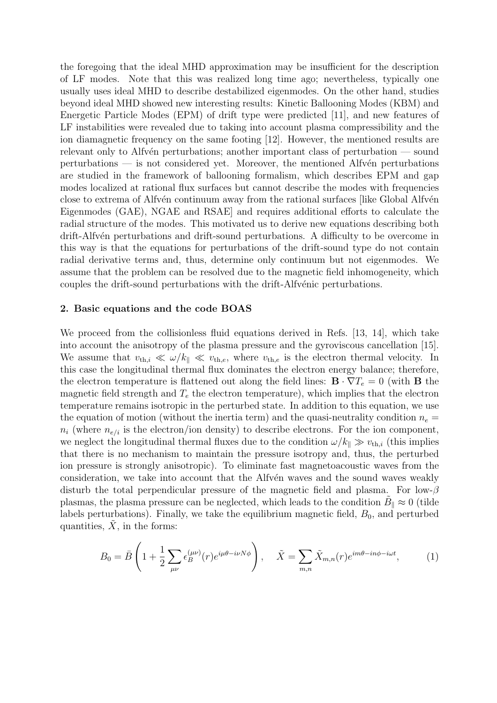the foregoing that the ideal MHD approximation may be insufficient for the description of LF modes. Note that this was realized long time ago; nevertheless, typically one usually uses ideal MHD to describe destabilized eigenmodes. On the other hand, studies beyond ideal MHD showed new interesting results: Kinetic Ballooning Modes (KBM) and Energetic Particle Modes (EPM) of drift type were predicted [11], and new features of LF instabilities were revealed due to taking into account plasma compressibility and the ion diamagnetic frequency on the same footing [12]. However, the mentioned results are relevant only to Alfv $\acute{e}$ n perturbations; another important class of perturbation — sound  $perturbations$  — is not considered yet. Moreover, the mentioned Alfvén perturbations are studied in the framework of ballooning formalism, which describes EPM and gap modes localized at rational flux surfaces but cannot describe the modes with frequencies close to extrema of Alfv<sup>en</sup> continuum away from the rational surfaces *like Global Alfven* Eigenmodes (GAE), NGAE and RSAE] and requires additional efforts to calculate the radial structure of the modes. This motivated us to derive new equations describing both drift-Alfv<sup>én</sup> perturbations and drift-sound perturbations. A difficulty to be overcome in this way is that the equations for perturbations of the drift-sound type do not contain radial derivative terms and, thus, determine only continuum but not eigenmodes. We assume that the problem can be resolved due to the magnetic field inhomogeneity, which couples the drift-sound perturbations with the drift-Alfvénic perturbations.

### 2. Basic equations and the code BOAS

We proceed from the collisionless fluid equations derived in Refs. [13, 14], which take into account the anisotropy of the plasma pressure and the gyroviscous cancellation [15]. We assume that  $v_{th,i} \ll \omega/k_{\parallel} \ll v_{th,e}$ , where  $v_{th,e}$  is the electron thermal velocity. In this case the longitudinal thermal flux dominates the electron energy balance; therefore, the electron temperature is flattened out along the field lines:  $\mathbf{B} \cdot \nabla T_e = 0$  (with **B** the magnetic field strength and  $T_e$  the electron temperature), which implies that the electron temperature remains isotropic in the perturbed state. In addition to this equation, we use the equation of motion (without the inertia term) and the quasi-neutrality condition  $n_e =$  $n_i$  (where  $n_{e/i}$  is the electron/ion density) to describe electrons. For the ion component, we neglect the longitudinal thermal fluxes due to the condition  $\omega/k_{\parallel} \gg v_{th,i}$  (this implies that there is no mechanism to maintain the pressure isotropy and, thus, the perturbed ion pressure is strongly anisotropic). To eliminate fast magnetoacoustic waves from the consideration, we take into account that the Alfvén waves and the sound waves weakly disturb the total perpendicular pressure of the magnetic field and plasma. For low- $\beta$ plasmas, the plasma pressure can be neglected, which leads to the condition  $\tilde{B}_{\parallel} \approx 0$  (tilde labels perturbations). Finally, we take the equilibrium magnetic field,  $B_0$ , and perturbed quantities,  $X$ , in the forms:

$$
B_0 = \bar{B} \left( 1 + \frac{1}{2} \sum_{\mu\nu} \epsilon_B^{(\mu\nu)}(r) e^{i\mu\theta - i\nu N\phi} \right), \quad \tilde{X} = \sum_{m,n} \tilde{X}_{m,n}(r) e^{im\theta - in\phi - i\omega t}, \quad (1)
$$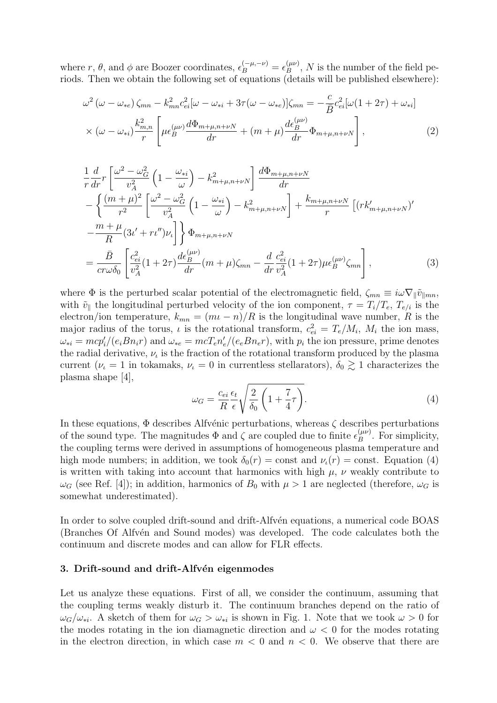where  $r, \theta$ , and  $\phi$  are Boozer coordinates,  $\epsilon_B^{(-\mu, -\nu)} = \epsilon_B^{(\mu\nu)}$  $_{B}^{(\mu\nu)}$ , N is the number of the field periods. Then we obtain the following set of equations (details will be published elsewhere):

$$
\omega^{2} (\omega - \omega_{*e}) \zeta_{mn} - k_{mn}^{2} c_{ei}^{2} [\omega - \omega_{*i} + 3\tau (\omega - \omega_{*e})] \zeta_{mn} = -\frac{c}{\bar{B}} c_{ei}^{2} [\omega (1 + 2\tau) + \omega_{*i}]
$$
  
 
$$
\times (\omega - \omega_{*i}) \frac{k_{m,n}^{2}}{r} \left[ \mu \epsilon_{B}^{(\mu \nu)} \frac{d\Phi_{m+\mu,n+\nu N}}{dr} + (m+\mu) \frac{d\epsilon_{B}^{(\mu \nu)}}{dr} \Phi_{m+\mu,n+\nu N} \right],
$$
 (2)

$$
\frac{1}{r}\frac{d}{dr}r\left[\frac{\omega^2-\omega_G^2}{v_A^2}\left(1-\frac{\omega_{*i}}{\omega}\right)-k_{m+\mu,n+\nu N}^2\right]\frac{d\Phi_{m+\mu,n+\nu N}}{dr} \n-\left\{\frac{(m+\mu)^2}{r^2}\left[\frac{\omega^2-\omega_G^2}{v_A^2}\left(1-\frac{\omega_{*i}}{\omega}\right)-k_{m+\mu,n+\nu N}^2\right]+\frac{k_{m+\mu,n+\nu N}}{r}\left[(rk'_{m+\mu,n+\nu N})'\right] \n-\frac{m+\mu}{R}(3\iota'+r\iota'')\nu_{\iota}\right]\right\}\Phi_{m+\mu,n+\nu N} \n=\frac{\bar{B}}{c r \omega \delta_0}\left[\frac{c_{ei}^2}{v_A^2}(1+2\tau)\frac{d\epsilon_B^{(\mu\nu)}}{dr}(m+\mu)\zeta_{mn}-\frac{d}{dr}\frac{c_{ei}^2}{v_A^2}(1+2\tau)\mu\epsilon_B^{(\mu\nu)}\zeta_{mn}\right],
$$
\n(3)

where  $\Phi$  is the perturbed scalar potential of the electromagnetic field,  $\zeta_{mn} \equiv i\omega \nabla_{\parallel} \tilde{v}_{\parallel mn}$ , with  $\tilde{v}_{\parallel}$  the longitudinal perturbed velocity of the ion component,  $\tau = T_i/T_e$ ,  $T_{e/i}$  is the electron/ion temperature,  $k_{mn} = (m_l - n)/R$  is the longitudinal wave number, R is the major radius of the torus,  $\iota$  is the rotational transform,  $c_{ei}^2 = T_e/M_i$ ,  $M_i$  the ion mass,  $\omega_{*i} = mcp_i'/(e_i B n_i r)$  and  $\omega_{*e} = mcT_e n_e'/(e_e B n_e r)$ , with  $p_i$  the ion pressure, prime denotes the radial derivative,  $\nu_{\iota}$  is the fraction of the rotational transform produced by the plasma current ( $\nu_t = 1$  in tokamaks,  $\nu_t = 0$  in currentless stellarators),  $\delta_0 \gtrsim 1$  characterizes the plasma shape [4], s

$$
\omega_G = \frac{c_{ei}}{R} \frac{\epsilon_t}{\epsilon} \sqrt{\frac{2}{\delta_0} \left( 1 + \frac{7}{4} \tau \right)}.
$$
\n(4)

In these equations,  $\Phi$  describes Alfvénic perturbations, whereas  $\zeta$  describes perturbations of the sound type. The magnitudes  $\Phi$  and  $\zeta$  are coupled due to finite  $\epsilon_B^{(\mu\nu)}$  $B^{(\mu\nu)}$ . For simplicity, the coupling terms were derived in assumptions of homogeneous plasma temperature and high mode numbers; in addition, we took  $\delta_0(r) = \text{const}$  and  $\nu_t(r) = \text{const}$ . Equation (4) is written with taking into account that harmonics with high  $\mu$ ,  $\nu$  weakly contribute to  $\omega_G$  (see Ref. [4]); in addition, harmonics of  $B_0$  with  $\mu > 1$  are neglected (therefore,  $\omega_G$  is somewhat underestimated).

In order to solve coupled drift-sound and drift-Alfv $\acute{e}$ n equations, a numerical code BOAS (Branches Of Alfvén and Sound modes) was developed. The code calculates both the continuum and discrete modes and can allow for FLR effects.

## 3. Drift-sound and drift-Alfvén eigenmodes

Let us analyze these equations. First of all, we consider the continuum, assuming that the coupling terms weakly disturb it. The continuum branches depend on the ratio of  $\omega_G/\omega_{*i}$ . A sketch of them for  $\omega_G > \omega_{*i}$  is shown in Fig. 1. Note that we took  $\omega > 0$  for the modes rotating in the ion diamagnetic direction and  $\omega < 0$  for the modes rotating in the electron direction, in which case  $m < 0$  and  $n < 0$ . We observe that there are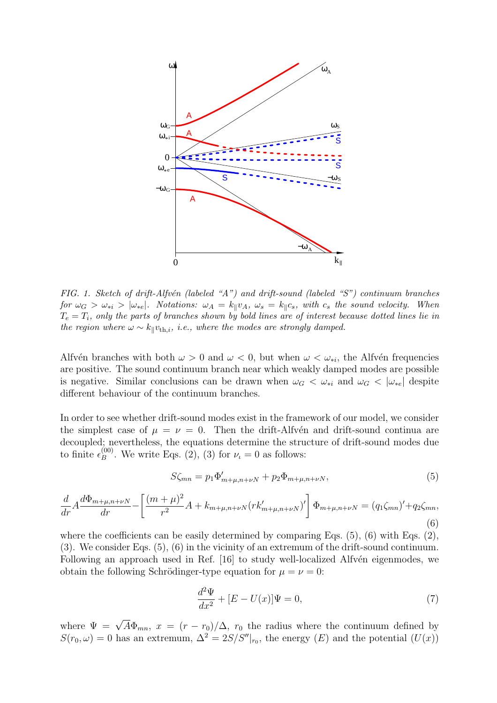

FIG. 1. Sketch of drift-Alfvén (labeled "A") and drift-sound (labeled "S") continuum branches for  $\omega_G > \omega_{*i} > |\omega_{*e}|$ . Notations:  $\omega_A = k_{\parallel}v_A$ ,  $\omega_s = k_{\parallel}c_s$ , with  $c_s$  the sound velocity. When  $T_e = T_i$ , only the parts of branches shown by bold lines are of interest because dotted lines lie in the region where  $\omega \sim k_{\parallel}v_{\text{th},i}$ , i.e., where the modes are strongly damped.

Alfvén branches with both  $\omega > 0$  and  $\omega < 0$ , but when  $\omega < \omega_{*i}$ , the Alfvén frequencies are positive. The sound continuum branch near which weakly damped modes are possible is negative. Similar conclusions can be drawn when  $\omega_G < \omega_{*i}$  and  $\omega_G < |\omega_{*e}|$  despite different behaviour of the continuum branches.

In order to see whether drift-sound modes exist in the framework of our model, we consider the simplest case of  $\mu = \nu = 0$ . Then the drift-Alfvén and drift-sound continua are decoupled; nevertheless, the equations determine the structure of drift-sound modes due to finite  $\epsilon_B^{(00)}$  $B_B^{(00)}$ . We write Eqs. (2), (3) for  $\nu_t = 0$  as follows:

$$
S\zeta_{mn} = p_1 \Phi'_{m+\mu, n+\nu N} + p_2 \Phi_{m+\mu, n+\nu N},\tag{5}
$$

$$
\frac{d}{dr}A\frac{d\Phi_{m+\mu,n+\nu N}}{dr} - \left[\frac{(m+\mu)^2}{r^2}A + k_{m+\mu,n+\nu N}(rk'_{m+\mu,n+\nu N})'\right]\Phi_{m+\mu,n+\nu N} = (q_1\zeta_{mn})' + q_2\zeta_{mn},\tag{6}
$$

where the coefficients can be easily determined by comparing Eqs.  $(5)$ ,  $(6)$  with Eqs.  $(2)$ , (3). We consider Eqs. (5), (6) in the vicinity of an extremum of the drift-sound continuum. Following an approach used in Ref. [16] to study well-localized Alfvén eigenmodes, we obtain the following Schrödinger-type equation for  $\mu = \nu = 0$ :

$$
\frac{d^2\Psi}{dx^2} + [E - U(x)]\Psi = 0,\t\t(7)
$$

where  $\Psi = \sqrt{A} \Phi_{mn}$ ,  $x = (r - r_0)/\Delta$ ,  $r_0$  the radius where the continuum defined by  $S(r_0, \omega) = 0$  has an extremum,  $\Delta^2 = 2S/S''|_{r_0}$ , the energy  $(E)$  and the potential  $(U(x))$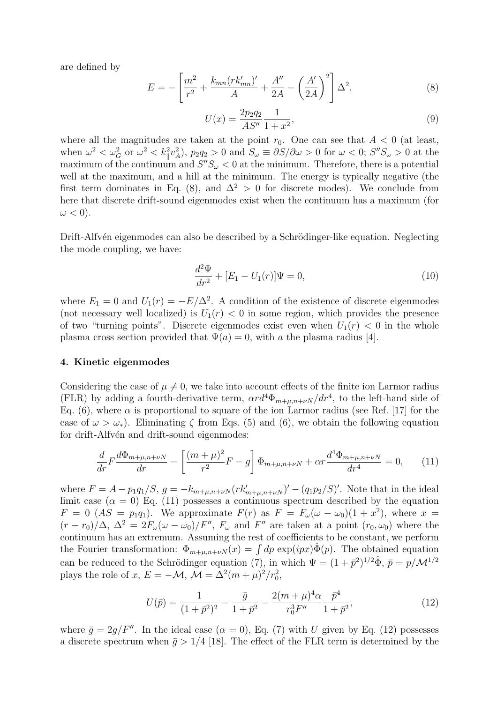are defined by

$$
E = -\left[\frac{m^2}{r^2} + \frac{k_{mn}(rk'_{mn})'}{A} + \frac{A''}{2A} - \left(\frac{A'}{2A}\right)^2\right]\Delta^2,\tag{8}
$$

$$
U(x) = \frac{2p_2 q_2}{AS''} \frac{1}{1+x^2},\tag{9}
$$

where all the magnitudes are taken at the point  $r_0$ . One can see that  $A < 0$  (at least, when  $\omega^2 < \omega_G^2$  or  $\omega^2 < k_{\parallel}^2 v_A^2$ ,  $p_2 q_2 > 0$  and  $S_{\omega} \equiv \partial S / \partial \omega > 0$  for  $\omega < 0$ ;  $S'' S_{\omega} > 0$  at the maximum of the continuum and  $S''S_{\omega}<0$  at the minimum. Therefore, there is a potential well at the maximum, and a hill at the minimum. The energy is typically negative (the first term dominates in Eq. (8), and  $\Delta^2 > 0$  for discrete modes). We conclude from here that discrete drift-sound eigenmodes exist when the continuum has a maximum (for  $\omega < 0$ ).

Drift-Alfvén eigenmodes can also be described by a Schrödinger-like equation. Neglecting the mode coupling, we have:

$$
\frac{d^2\Psi}{dr^2} + [E_1 - U_1(r)]\Psi = 0,
$$
\n(10)

where  $E_1 = 0$  and  $U_1(r) = -E/\Delta^2$ . A condition of the existence of discrete eigenmodes (not necessary well localized) is  $U_1(r) < 0$  in some region, which provides the presence of two "turning points". Discrete eigenmodes exist even when  $U_1(r) < 0$  in the whole plasma cross section provided that  $\Psi(a) = 0$ , with a the plasma radius [4].

#### 4. Kinetic eigenmodes

Considering the case of  $\mu \neq 0$ , we take into account effects of the finite ion Larmor radius (FLR) by adding a fourth-derivative term,  $\alpha r d^4 \Phi_{m+\mu,n+\nu}$  and  $r d^4 r^4$ , to the left-hand side of Eq. (6), where  $\alpha$  is proportional to square of the ion Larmor radius (see Ref. [17] for the case of  $\omega > \omega_*$ ). Eliminating  $\zeta$  from Eqs. (5) and (6), we obtain the following equation for drift-Alfvén and drift-sound eigenmodes:

$$
\frac{d}{dr}F\frac{d\Phi_{m+\mu,n+\nu N}}{dr} - \left[\frac{(m+\mu)^2}{r^2}F - g\right]\Phi_{m+\mu,n+\nu N} + \alpha r \frac{d^4\Phi_{m+\mu,n+\nu N}}{dr^4} = 0, \quad (11)
$$

where  $F = A - p_1 q_1 / S$ ,  $g = -k_{m+\mu,n+\nu} (rk'_{m+\mu,n+\nu}N)' - (q_1 p_2 / S)'$ . Note that in the ideal limit case  $(\alpha = 0)$  Eq. (11) possesses a continuous spectrum described by the equation  $F = 0$  (AS = p<sub>1</sub>q<sub>1</sub>). We approximate  $F(r)$  as  $F = F_{\omega}(\omega - \omega_0)(1 + x^2)$ , where  $x =$  $(r - r_0)/\Delta$ ,  $\Delta^2 = 2F_\omega(\omega - \omega_0)/F''$ ,  $F_\omega$  and  $F''$  are taken at a point  $(r_0, \omega_0)$  where the continuum has an extremum. Assuming the rest of coefficients to be constant, we perform continuum has an extremum. Assuming the rest of coefficients to be constant, we perform<br>the Fourier transformation:  $\Phi_{m+\mu,n+\nu N}(x) = \int dp \exp(ipx)\hat{\Phi}(p)$ . The obtained equation can be reduced to the Schrödinger equation (7), in which  $\Psi = (1 + \bar{p}^2)^{1/2} \hat{\Phi}, \bar{p} = p/M^{1/2}$ plays the role of x,  $E = -\mathcal{M}$ ,  $\mathcal{M} = \Delta^2 (m + \mu)^2 / r_0^2$ ,

$$
U(\bar{p}) = \frac{1}{(1+\bar{p}^2)^2} - \frac{\bar{g}}{1+\bar{p}^2} - \frac{2(m+\mu)^4 \alpha}{r_0^3 F''} \frac{\bar{p}^4}{1+\bar{p}^2},\tag{12}
$$

where  $\bar{q} = 2q/F''$ . In the ideal case  $(\alpha = 0)$ , Eq. (7) with U given by Eq. (12) possesses a discrete spectrum when  $\bar{g} > 1/4$  [18]. The effect of the FLR term is determined by the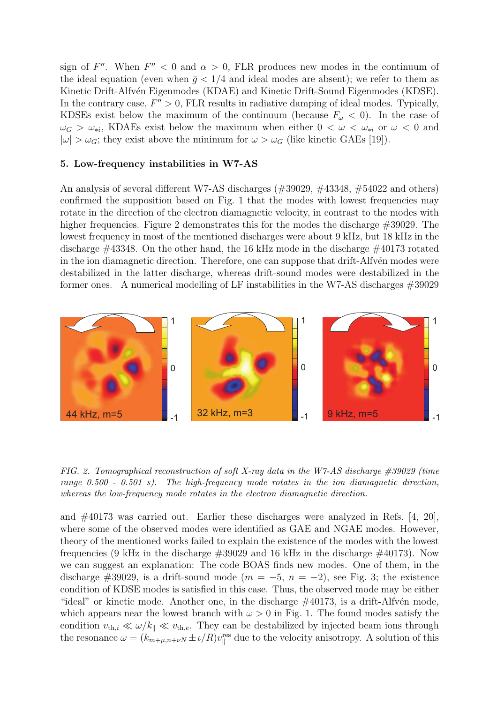sign of F''. When  $F'' < 0$  and  $\alpha > 0$ , FLR produces new modes in the continuum of the ideal equation (even when  $\bar{q}$  < 1/4 and ideal modes are absent); we refer to them as Kinetic Drift-Alfvén Eigenmodes (KDAE) and Kinetic Drift-Sound Eigenmodes (KDSE). In the contrary case,  $F'' > 0$ , FLR results in radiative damping of ideal modes. Typically, KDSEs exist below the maximum of the continuum (because  $F_{\omega} < 0$ ). In the case of  $\omega_G > \omega_{*i}$ , KDAEs exist below the maximum when either  $0 < \omega < \omega_{*i}$  or  $\omega < 0$  and  $|\omega| > \omega_G$ ; they exist above the minimum for  $\omega > \omega_G$  (like kinetic GAEs [19]).

## 5. Low-frequency instabilities in W7-AS

An analysis of several different W7-AS discharges (#39029, #43348, #54022 and others) confirmed the supposition based on Fig. 1 that the modes with lowest frequencies may rotate in the direction of the electron diamagnetic velocity, in contrast to the modes with higher frequencies. Figure 2 demonstrates this for the modes the discharge  $\#39029$ . The lowest frequency in most of the mentioned discharges were about 9 kHz, but 18 kHz in the discharge #43348. On the other hand, the 16 kHz mode in the discharge #40173 rotated in the ion diamagnetic direction. Therefore, one can suppose that drift-Alfvén modes were destabilized in the latter discharge, whereas drift-sound modes were destabilized in the former ones. A numerical modelling of LF instabilities in the W7-AS discharges #39029



FIG. 2. Tomographical reconstruction of soft X-ray data in the W7-AS discharge  $\#39029$  (time range  $0.500$  -  $0.501$  s). The high-frequency mode rotates in the ion diamagnetic direction, whereas the low-frequency mode rotates in the electron diamagnetic direction.

and  $\#40173$  was carried out. Earlier these discharges were analyzed in Refs. [4, 20], where some of the observed modes were identified as GAE and NGAE modes. However, theory of the mentioned works failed to explain the existence of the modes with the lowest frequencies (9 kHz in the discharge #39029 and 16 kHz in the discharge #40173). Now we can suggest an explanation: The code BOAS finds new modes. One of them, in the discharge #39029, is a drift-sound mode  $(m = -5, n = -2)$ , see Fig. 3; the existence condition of KDSE modes is satisfied in this case. Thus, the observed mode may be either "ideal" or kinetic mode. Another one, in the discharge  $\#40173$ , is a drift-Alfvén mode, which appears near the lowest branch with  $\omega > 0$  in Fig. 1. The found modes satisfy the condition  $v_{th,i} \ll \omega/k_{\parallel} \ll v_{th,e}$ . They can be destabilized by injected beam ions through the resonance  $\omega = (k_{m+\mu,n+\nu N} \pm i/R)v_{\parallel}^{\text{res}}$  due to the velocity anisotropy. A solution of this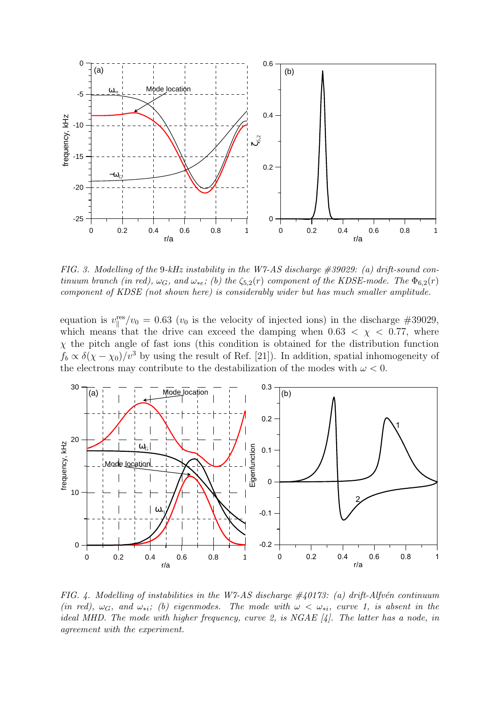

FIG. 3. Modelling of the 9-kHz instability in the W7-AS discharge  $\#39029$ : (a) drift-sound continuum branch (in red),  $\omega_G$ , and  $\omega_{*e}$ ; (b) the  $\zeta_{5,2}(r)$  component of the KDSE-mode. The  $\Phi_{6,2}(r)$ component of KDSE (not shown here) is considerably wider but has much smaller amplitude.

equation is  $v_{\parallel}^{\text{res}}/v_0 = 0.63$  ( $v_0$  is the velocity of injected ions) in the discharge #39029, which means that the drive can exceed the damping when  $0.63 < \chi < 0.77$ , where  $\chi$  the pitch angle of fast ions (this condition is obtained for the distribution function  $f_b \propto \delta(\chi - \chi_0)/v^3$  by using the result of Ref. [21]). In addition, spatial inhomogeneity of the electrons may contribute to the destabilization of the modes with  $\omega < 0$ .



FIG. 4. Modelling of instabilities in the W7-AS discharge  $\#40173$ : (a) drift-Alfvén continuum (in red),  $\omega_G$ , and  $\omega_{*i}$ ; (b) eigenmodes. The mode with  $\omega < \omega_{*i}$ , curve 1, is absent in the ideal MHD. The mode with higher frequency, curve 2, is NGAE [4]. The latter has a node, in agreement with the experiment.